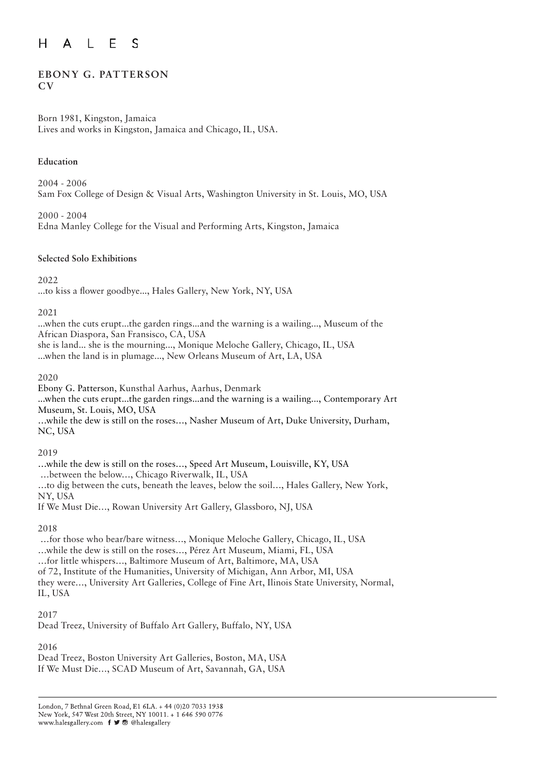#### $H$ E A  $\mathsf{L}$ S

## **EBONY G. PATTERSON CV**

### Born 1981, Kingston, Jamaica Lives and works in Kingston, Jamaica and Chicago, IL, USA.

## **Education**

2004 - 2006 Sam Fox College of Design & Visual Arts, Washington University in St. Louis, MO, USA

2000 - 2004 Edna Manley College for the Visual and Performing Arts, Kingston, Jamaica

## **Selected Solo Exhibitions**

2022

...to kiss a flower goodbye..., Hales Gallery, New York, NY, USA

## 2021

...when the cuts erupt...the garden rings...and the warning is a wailing..., Museum of the African Diaspora, San Fransisco, CA, USA she is land... she is the mourning..., Monique Meloche Gallery, Chicago, IL, USA ...when the land is in plumage..., New Orleans Museum of Art, LA, USA

2020

Ebony G. Patterson, Kunsthal Aarhus, Aarhus, Denmark ...when the cuts erupt...the garden rings...and the warning is a wailing..., Contemporary Art Museum, St. Louis, MO, USA

…while the dew is still on the roses…, Nasher Museum of Art, Duke University, Durham, NC, USA

## 2019

…while the dew is still on the roses…, Speed Art Museum, Louisville, KY, USA …between the below…, Chicago Riverwalk, IL, USA …to dig between the cuts, beneath the leaves, below the soil…, Hales Gallery, New York, NY, USA If We Must Die…, Rowan University Art Gallery, Glassboro, NJ, USA

2018

 …for those who bear/bare witness…, Monique Meloche Gallery, Chicago, IL, USA …while the dew is still on the roses…, Pérez Art Museum, Miami, FL, USA …for little whispers…, Baltimore Museum of Art, Baltimore, MA, USA of 72, Institute of the Humanities, University of Michigan, Ann Arbor, MI, USA they were…, University Art Galleries, College of Fine Art, Ilinois State University, Normal, IL, USA

## 2017

Dead Treez, University of Buffalo Art Gallery, Buffalo, NY, USA

## 2016

Dead Treez, Boston University Art Galleries, Boston, MA, USA If We Must Die…, SCAD Museum of Art, Savannah, GA, USA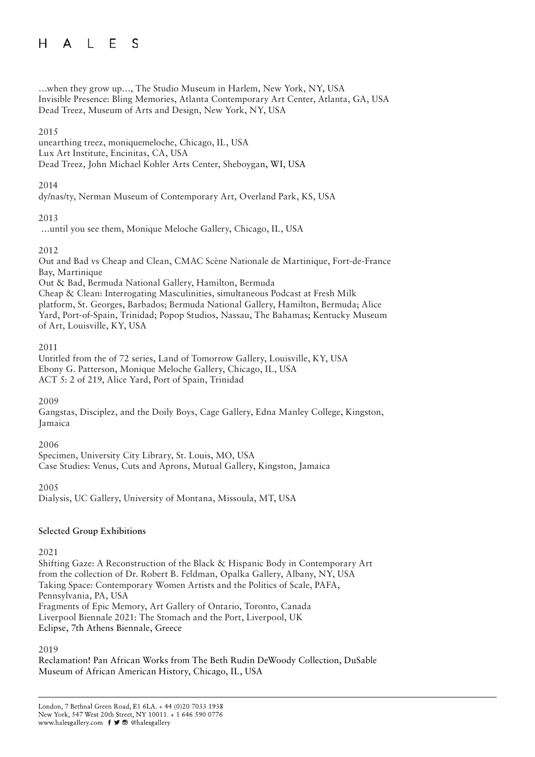#### $H$  $\perp$ F. <sub>S</sub>  $\mathsf{A}$

…when they grow up…, The Studio Museum in Harlem, New York, NY, USA Invisible Presence: Bling Memories, Atlanta Contemporary Art Center, Atlanta, GA, USA Dead Treez, Museum of Arts and Design, New York, NY, USA

### 2015

unearthing treez, moniquemeloche, Chicago, IL, USA Lux Art Institute, Encinitas, CA, USA Dead Treez, John Michael Kohler Arts Center, Sheboygan, WI, USA

## 2014

dy/nas/ty, Nerman Museum of Contemporary Art, Overland Park, KS, USA

## 2013

…until you see them, Monique Meloche Gallery, Chicago, IL, USA

## 2012

Out and Bad vs Cheap and Clean, CMAC Scène Nationale de Martinique, Fort-de-France Bay, Martinique Out & Bad, Bermuda National Gallery, Hamilton, Bermuda Cheap & Clean: Interrogating Masculinities, simultaneous Podcast at Fresh Milk platform, St. Georges, Barbados; Bermuda National Gallery, Hamilton, Bermuda; Alice Yard, Port-of-Spain, Trinidad; Popop Studios, Nassau, The Bahamas; Kentucky Museum

of Art, Louisville, KY, USA

### 2011

Untitled from the of 72 series, Land of Tomorrow Gallery, Louisville, KY, USA Ebony G. Patterson, Monique Meloche Gallery, Chicago, IL, USA ACT 5: 2 of 219, Alice Yard, Port of Spain, Trinidad

2009

Gangstas, Disciplez, and the Doily Boys, Cage Gallery, Edna Manley College, Kingston, Jamaica

2006

Specimen, University City Library, St. Louis, MO, USA Case Studies: Venus, Cuts and Aprons, Mutual Gallery, Kingston, Jamaica

2005

Dialysis, UC Gallery, University of Montana, Missoula, MT, USA

## **Selected Group Exhibitions**

2021

Shifting Gaze: A Reconstruction of the Black & Hispanic Body in Contemporary Art from the collection of Dr. Robert B. Feldman, Opalka Gallery, Albany, NY, USA Taking Space: Contemporary Women Artists and the Politics of Scale, PAFA, Pennsylvania, PA, USA Fragments of Epic Memory, Art Gallery of Ontario, Toronto, Canada Liverpool Biennale 2021: The Stomach and the Port, Liverpool, UK Eclipse, 7th Athens Biennale, Greece

2019

Reclamation! Pan African Works from The Beth Rudin DeWoody Collection, DuSable Museum of African American History, Chicago, IL, USA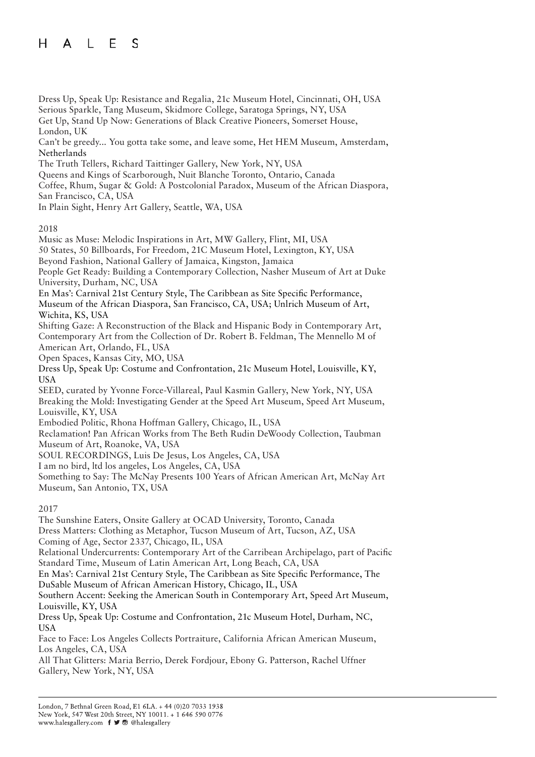#### E  $H$  $\mathsf{A}$  $\mathsf{L}$ S

Dress Up, Speak Up: Resistance and Regalia, 21c Museum Hotel, Cincinnati, OH, USA Serious Sparkle, Tang Museum, Skidmore College, Saratoga Springs, NY, USA Get Up, Stand Up Now: Generations of Black Creative Pioneers, Somerset House, London, UK

Can't be greedy... You gotta take some, and leave some, Het HEM Museum, Amsterdam, Netherlands

The Truth Tellers, Richard Taittinger Gallery, New York, NY, USA

Queens and Kings of Scarborough, Nuit Blanche Toronto, Ontario, Canada

Coffee, Rhum, Sugar & Gold: A Postcolonial Paradox, Museum of the African Diaspora, San Francisco, CA, USA

In Plain Sight, Henry Art Gallery, Seattle, WA, USA

### 2018

Music as Muse: Melodic Inspirations in Art, MW Gallery, Flint, MI, USA 50 States, 50 Billboards, For Freedom, 21C Museum Hotel, Lexington, KY, USA Beyond Fashion, National Gallery of Jamaica, Kingston, Jamaica People Get Ready: Building a Contemporary Collection, Nasher Museum of Art at Duke University, Durham, NC, USA En Mas': Carnival 21st Century Style, The Caribbean as Site Specific Performance, Museum of the African Diaspora, San Francisco, CA, USA; Unlrich Museum of Art, Wichita, KS, USA Shifting Gaze: A Reconstruction of the Black and Hispanic Body in Contemporary Art, Contemporary Art from the Collection of Dr. Robert B. Feldman, The Mennello M of American Art, Orlando, FL, USA Open Spaces, Kansas City, MO, USA Dress Up, Speak Up: Costume and Confrontation, 21c Museum Hotel, Louisville, KY, USA SEED, curated by Yvonne Force-Villareal, Paul Kasmin Gallery, New York, NY, USA Breaking the Mold: Investigating Gender at the Speed Art Museum, Speed Art Museum, Louisville, KY, USA Embodied Politic, Rhona Hoffman Gallery, Chicago, IL, USA Reclamation! Pan African Works from The Beth Rudin DeWoody Collection, Taubman Museum of Art, Roanoke, VA, USA SOUL RECORDINGS, Luis De Jesus, Los Angeles, CA, USA I am no bird, ltd los angeles, Los Angeles, CA, USA Something to Say: The McNay Presents 100 Years of African American Art, McNay Art Museum, San Antonio, TX, USA

## 2017

The Sunshine Eaters, Onsite Gallery at OCAD University, Toronto, Canada Dress Matters: Clothing as Metaphor, Tucson Museum of Art, Tucson, AZ, USA Coming of Age, Sector 2337, Chicago, IL, USA Relational Undercurrents: Contemporary Art of the Carribean Archipelago, part of Pacific Standard Time, Museum of Latin American Art, Long Beach, CA, USA En Mas': Carnival 21st Century Style, The Caribbean as Site Specific Performance, The DuSable Museum of African American History, Chicago, IL, USA Southern Accent: Seeking the American South in Contemporary Art, Speed Art Museum, Louisville, KY, USA Dress Up, Speak Up: Costume and Confrontation, 21c Museum Hotel, Durham, NC, USA Face to Face: Los Angeles Collects Portraiture, California African American Museum, Los Angeles, CA, USA

All That Glitters: Maria Berrio, Derek Fordjour, Ebony G. Patterson, Rachel Uffner Gallery, New York, NY, USA

London, 7 Bethnal Green Road, E1 6LA. + 44 (0)20 7033 1938 New York, 547 West 20th Street, NY 10011. + 1 646 590 0776 www.halesgallery.com f J @ @halesgallery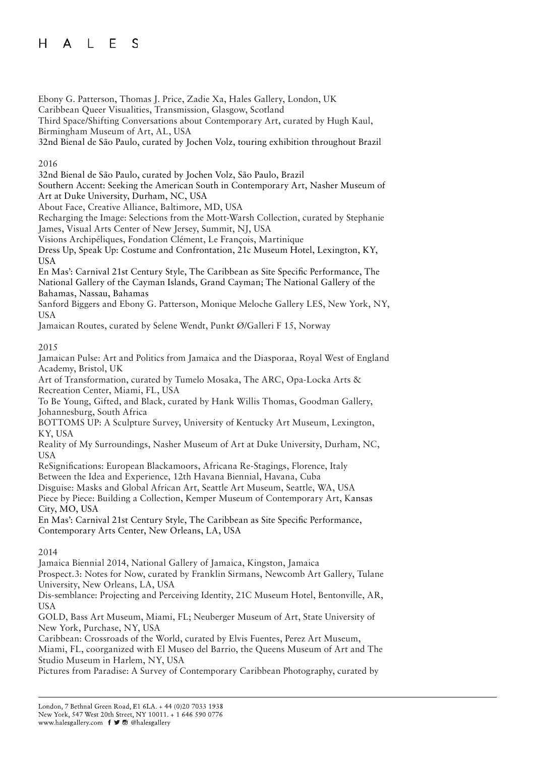#### $H$ E  $\mathsf{A}$  $\perp$ S

Ebony G. Patterson, Thomas J. Price, Zadie Xa, Hales Gallery, London, UK

Caribbean Queer Visualities, Transmission, Glasgow, Scotland

Third Space/Shifting Conversations about Contemporary Art, curated by Hugh Kaul, Birmingham Museum of Art, AL, USA

32nd Bienal de São Paulo, curated by Jochen Volz, touring exhibition throughout Brazil

## 2016

32nd Bienal de São Paulo, curated by Jochen Volz, São Paulo, Brazil

Southern Accent: Seeking the American South in Contemporary Art, Nasher Museum of Art at Duke University, Durham, NC, USA

About Face, Creative Alliance, Baltimore, MD, USA

Recharging the Image: Selections from the Mott-Warsh Collection, curated by Stephanie James, Visual Arts Center of New Jersey, Summit, NJ, USA

Visions Archipéliques, Fondation Clément, Le François, Martinique

Dress Up, Speak Up: Costume and Confrontation, 21c Museum Hotel, Lexington, KY, USA

En Mas': Carnival 21st Century Style, The Caribbean as Site Specific Performance, The National Gallery of the Cayman Islands, Grand Cayman; The National Gallery of the Bahamas, Nassau, Bahamas

Sanford Biggers and Ebony G. Patterson, Monique Meloche Gallery LES, New York, NY, USA

Jamaican Routes, curated by Selene Wendt, Punkt Ø/Galleri F 15, Norway

## 2015

Jamaican Pulse: Art and Politics from Jamaica and the Diasporaa, Royal West of England Academy, Bristol, UK

Art of Transformation, curated by Tumelo Mosaka, The ARC, Opa-Locka Arts & Recreation Center, Miami, FL, USA

To Be Young, Gifted, and Black, curated by Hank Willis Thomas, Goodman Gallery, Johannesburg, South Africa

BOTTOMS UP: A Sculpture Survey, University of Kentucky Art Museum, Lexington, KY, USA

Reality of My Surroundings, Nasher Museum of Art at Duke University, Durham, NC, USA

ReSignifications: European Blackamoors, Africana Re-Stagings, Florence, Italy Between the Idea and Experience, 12th Havana Biennial, Havana, Cuba

Disguise: Masks and Global African Art, Seattle Art Museum, Seattle, WA, USA

Piece by Piece: Building a Collection, Kemper Museum of Contemporary Art, Kansas City, MO, USA

En Mas': Carnival 21st Century Style, The Caribbean as Site Specific Performance, Contemporary Arts Center, New Orleans, LA, USA

## 2014

Jamaica Biennial 2014, National Gallery of Jamaica, Kingston, Jamaica

Prospect.3: Notes for Now, curated by Franklin Sirmans, Newcomb Art Gallery, Tulane University, New Orleans, LA, USA

Dis-semblance: Projecting and Perceiving Identity, 21C Museum Hotel, Bentonville, AR, USA

GOLD, Bass Art Museum, Miami, FL; Neuberger Museum of Art, State University of New York, Purchase, NY, USA

Caribbean: Crossroads of the World, curated by Elvis Fuentes, Perez Art Museum, Miami, FL, coorganized with El Museo del Barrio, the Queens Museum of Art and The Studio Museum in Harlem, NY, USA

Pictures from Paradise: A Survey of Contemporary Caribbean Photography, curated by

London, 7 Bethnal Green Road, E1 6LA. + 44 (0)20 7033 1938 New York, 547 West 20th Street, NY 10011. + 1 646 590 0776 www.halesgallery.com f J @ @halesgallery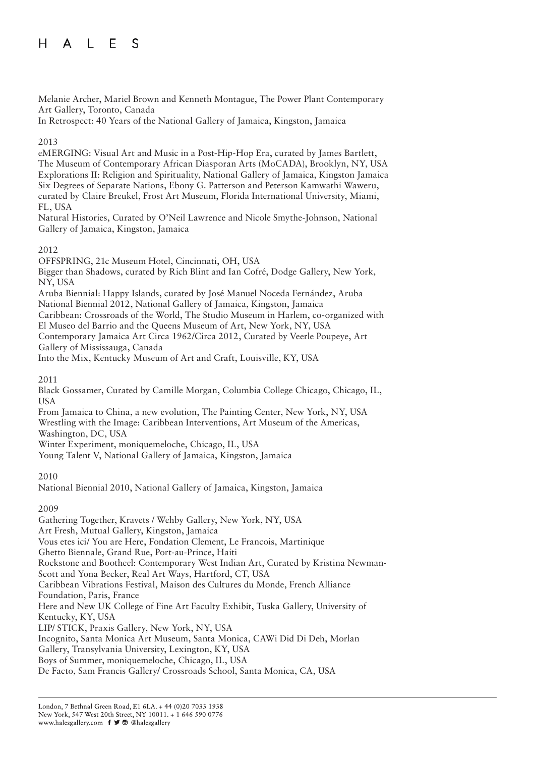#### E  $H$  $\mathsf{A}$  $\perp$ S

Melanie Archer, Mariel Brown and Kenneth Montague, The Power Plant Contemporary Art Gallery, Toronto, Canada

In Retrospect: 40 Years of the National Gallery of Jamaica, Kingston, Jamaica

## 2013

eMERGING: Visual Art and Music in a Post-Hip-Hop Era, curated by James Bartlett, The Museum of Contemporary African Diasporan Arts (MoCADA), Brooklyn, NY, USA Explorations II: Religion and Spirituality, National Gallery of Jamaica, Kingston Jamaica Six Degrees of Separate Nations, Ebony G. Patterson and Peterson Kamwathi Waweru, curated by Claire Breukel, Frost Art Museum, Florida International University, Miami, FL, USA

Natural Histories, Curated by O'Neil Lawrence and Nicole Smythe-Johnson, National Gallery of Jamaica, Kingston, Jamaica

## 2012

OFFSPRING, 21c Museum Hotel, Cincinnati, OH, USA Bigger than Shadows, curated by Rich Blint and Ian Cofré, Dodge Gallery, New York, NY, USA Aruba Biennial: Happy Islands, curated by José Manuel Noceda Fernández, Aruba National Biennial 2012, National Gallery of Jamaica, Kingston, Jamaica Caribbean: Crossroads of the World, The Studio Museum in Harlem, co-organized with El Museo del Barrio and the Queens Museum of Art, New York, NY, USA Contemporary Jamaica Art Circa 1962/Circa 2012, Curated by Veerle Poupeye, Art Gallery of Mississauga, Canada

Into the Mix, Kentucky Museum of Art and Craft, Louisville, KY, USA

## 2011

Black Gossamer, Curated by Camille Morgan, Columbia College Chicago, Chicago, IL, USA

From Jamaica to China, a new evolution, The Painting Center, New York, NY, USA Wrestling with the Image: Caribbean Interventions, Art Museum of the Americas, Washington, DC, USA

Winter Experiment, moniquemeloche, Chicago, IL, USA

Young Talent V, National Gallery of Jamaica, Kingston, Jamaica

## 2010

National Biennial 2010, National Gallery of Jamaica, Kingston, Jamaica

# 2009

Gathering Together, Kravets / Wehby Gallery, New York, NY, USA Art Fresh, Mutual Gallery, Kingston, Jamaica Vous etes ici/ You are Here, Fondation Clement, Le Francois, Martinique Ghetto Biennale, Grand Rue, Port-au-Prince, Haiti Rockstone and Bootheel: Contemporary West Indian Art, Curated by Kristina Newman-Scott and Yona Becker, Real Art Ways, Hartford, CT, USA Caribbean Vibrations Festival, Maison des Cultures du Monde, French Alliance Foundation, Paris, France Here and New UK College of Fine Art Faculty Exhibit, Tuska Gallery, University of Kentucky, KY, USA LIP/ STICK, Praxis Gallery, New York, NY, USA Incognito, Santa Monica Art Museum, Santa Monica, CAWi Did Di Deh, Morlan Gallery, Transylvania University, Lexington, KY, USA Boys of Summer, moniquemeloche, Chicago, IL, USA De Facto, Sam Francis Gallery/ Crossroads School, Santa Monica, CA, USA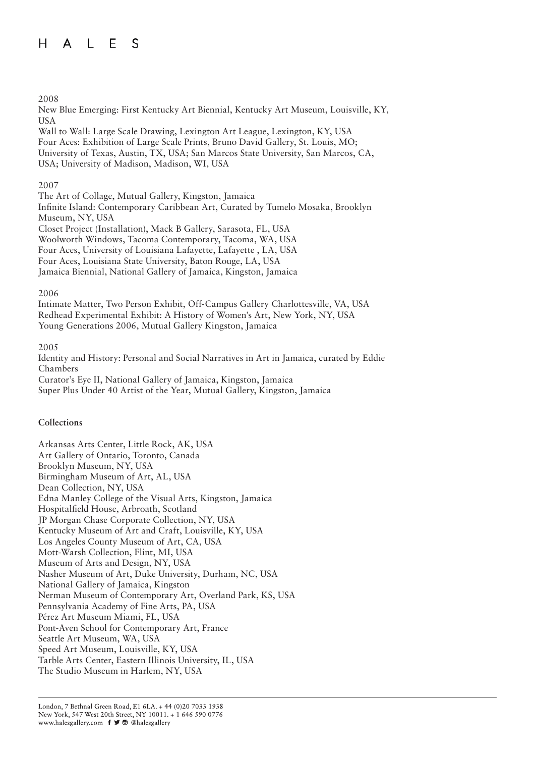#### $H$ E  $\mathsf{A}$  $\perp$ <sub>S</sub>

### 2008

New Blue Emerging: First Kentucky Art Biennial, Kentucky Art Museum, Louisville, KY, USA

Wall to Wall: Large Scale Drawing, Lexington Art League, Lexington, KY, USA Four Aces: Exhibition of Large Scale Prints, Bruno David Gallery, St. Louis, MO; University of Texas, Austin, TX, USA; San Marcos State University, San Marcos, CA, USA; University of Madison, Madison, WI, USA

### 2007

The Art of Collage, Mutual Gallery, Kingston, Jamaica Infinite Island: Contemporary Caribbean Art, Curated by Tumelo Mosaka, Brooklyn Museum, NY, USA Closet Project (Installation), Mack B Gallery, Sarasota, FL, USA Woolworth Windows, Tacoma Contemporary, Tacoma, WA, USA Four Aces, University of Louisiana Lafayette, Lafayette , LA, USA Four Aces, Louisiana State University, Baton Rouge, LA, USA Jamaica Biennial, National Gallery of Jamaica, Kingston, Jamaica

### 2006

Intimate Matter, Two Person Exhibit, Off-Campus Gallery Charlottesville, VA, USA Redhead Experimental Exhibit: A History of Women's Art, New York, NY, USA Young Generations 2006, Mutual Gallery Kingston, Jamaica

### 2005

Identity and History: Personal and Social Narratives in Art in Jamaica, curated by Eddie Chambers Curator's Eye II, National Gallery of Jamaica, Kingston, Jamaica Super Plus Under 40 Artist of the Year, Mutual Gallery, Kingston, Jamaica

## **Collections**

Arkansas Arts Center, Little Rock, AK, USA Art Gallery of Ontario, Toronto, Canada Brooklyn Museum, NY, USA Birmingham Museum of Art, AL, USA Dean Collection, NY, USA Edna Manley College of the Visual Arts, Kingston, Jamaica Hospitalfield House, Arbroath, Scotland JP Morgan Chase Corporate Collection, NY, USA Kentucky Museum of Art and Craft, Louisville, KY, USA Los Angeles County Museum of Art, CA, USA Mott-Warsh Collection, Flint, MI, USA Museum of Arts and Design, NY, USA Nasher Museum of Art, Duke University, Durham, NC, USA National Gallery of Jamaica, Kingston Nerman Museum of Contemporary Art, Overland Park, KS, USA Pennsylvania Academy of Fine Arts, PA, USA Pérez Art Museum Miami, FL, USA Pont-Aven School for Contemporary Art, France Seattle Art Museum, WA, USA Speed Art Museum, Louisville, KY, USA Tarble Arts Center, Eastern Illinois University, IL, USA The Studio Museum in Harlem, NY, USA